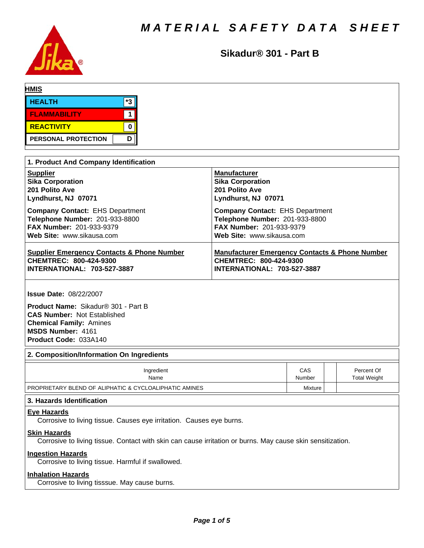

**Sikadur® 301 - Part B**

| <b>HMIS</b>                |  |    |  |
|----------------------------|--|----|--|
| <b>HEALTH</b>              |  | *3 |  |
| <b>FLAMMABILITY</b>        |  |    |  |
| <b>REACTIVITY</b>          |  |    |  |
| <b>PERSONAL PROTECTION</b> |  | D  |  |

| 1. Product And Company Identification                 |                                                           |
|-------------------------------------------------------|-----------------------------------------------------------|
| <b>Supplier</b>                                       | <b>Manufacturer</b>                                       |
| <b>Sika Corporation</b>                               | <b>Sika Corporation</b>                                   |
| 201 Polito Ave                                        | 201 Polito Ave                                            |
| Lyndhurst, NJ 07071                                   | Lyndhurst, NJ 07071                                       |
| <b>Company Contact: EHS Department</b>                | <b>Company Contact: EHS Department</b>                    |
| Telephone Number: 201-933-8800                        | Telephone Number: 201-933-8800                            |
| <b>FAX Number: 201-933-9379</b>                       | <b>FAX Number: 201-933-9379</b>                           |
| Web Site: www.sikausa.com                             | Web Site: www.sikausa.com                                 |
| <b>Supplier Emergency Contacts &amp; Phone Number</b> | <b>Manufacturer Emergency Contacts &amp; Phone Number</b> |
| CHEMTREC: 800-424-9300                                | CHEMTREC: 800-424-9300                                    |
| <b>INTERNATIONAL: 703-527-3887</b>                    | <b>INTERNATIONAL: 703-527-3887</b>                        |

**Issue Date:** 08/22/2007

**Product Name:** Sikadur®301-PartB **CAS Number:** Not Established **Chemical Family:** Amines **MSDS Number:** 4161 **Product Code:** 033A140

### **2. Composition/Information On Ingredients**

| Ingredient                                             | CAS     | Percent Of   |
|--------------------------------------------------------|---------|--------------|
| Name                                                   | Number  | Total Weight |
| PROPRIETARY BLEND OF ALIPHATIC & CYCLOALIPHATIC AMINES | Mixture |              |

# **3. Hazards Identification**

# **Eye Hazards**

Corrosive to living tissue. Causes eye irritation. Causes eye burns.

### **Skin Hazards**

Corrosive to living tissue. Contact with skin can cause irritation or burns. May cause skin sensitization.

#### **Ingestion Hazards**

Corrosive to living tissue. Harmful if swallowed.

### **Inhalation Hazards**

Corrosive to living tisssue. May cause burns.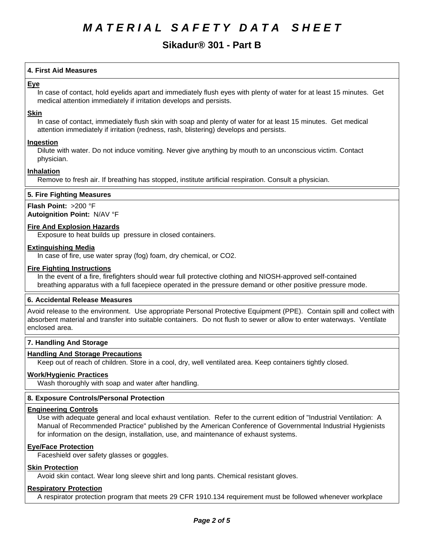# **Sikadur® 301 - Part B**

# **4.First AidMeasures**

## **Eye**

In case of contact, hold eyelids apart and immediately flush eyes with plenty of water for at least 15 minutes. Get medical attention immediately if irritation develops and persists.

### **Skin**

In case of contact, immediately flush skin with soap and plenty of water for at least 15 minutes. Get medical attention immediately if irritation (redness, rash, blistering) develops and persists.

### **Ingestion**

Dilute with water. Do not induce vomiting. Never give anything by mouth to an unconscious victim. Contact physician.

### **Inhalation**

Remove to fresh air. If breathing has stopped, institute artificial respiration. Consult a physician.

### **5. Fire Fighting Measures**

# **Flash Point:** >200 °F

**Autoignition Point:** N/AV°F

# **Fire And Explosion Hazards**

Exposure to heat builds up pressure in closed containers.

## **Extinguishing Media**

In case of fire, use water spray (fog) foam, dry chemical, or CO2.

### **Fire Fighting Instructions**

In the event of a fire, firefighters should wear full protective clothing and NIOSH-approved self-contained breathing apparatus with a full facepiece operated in the pressure demand or other positive pressure mode.

### **6. Accidental Release Measures**

Avoid release to the environment. Use appropriate Personal Protective Equipment (PPE). Contain spill and collect with absorbent material and transfer into suitable containers. Do not flush to sewer or allow to enter waterways. Ventilate enclosed area.

### **7. Handling And Storage**

### **Handling And Storage Precautions**

Keep out of reach of children. Store in a cool, dry, well ventilated area. Keep containers tightly closed.

### **Work/Hygienic Practices**

Wash thoroughly with soap and water after handling.

### **8. Exposure Controls/Personal Protection**

### **Engineering Controls**

Use with adequate general and local exhaust ventilation. Refer to the current edition of "Industrial Ventilation: A Manual of Recommended Practice" published by the American Conference of Governmental Industrial Hygienists for information on the design, installation, use, and maintenance of exhaust systems.

### **Eye/Face Protection**

Faceshield over safety glasses or goggles.

# **Skin Protection**

Avoid skin contact. Wear long sleeve shirt and long pants. Chemical resistant gloves.

#### **Respiratory Protection**

A respirator protection program that meets 29 CFR 1910.134 requirement must be followed whenever workplace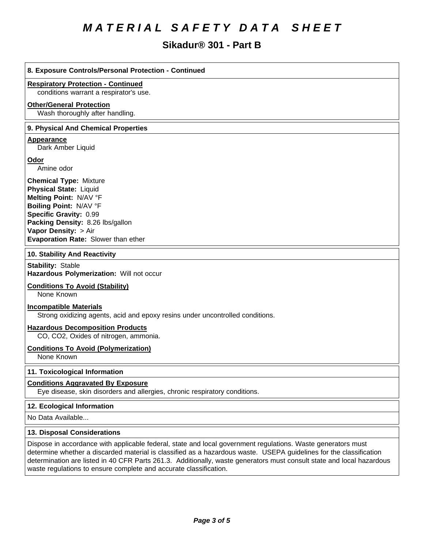# **Sikadur® 301 - Part B**

| 8. Exposure Controls/Personal Protection - Continued                                                                                                                                                                                            |
|-------------------------------------------------------------------------------------------------------------------------------------------------------------------------------------------------------------------------------------------------|
| <b>Respiratory Protection - Continued</b><br>conditions warrant a respirator's use.                                                                                                                                                             |
| <b>Other/General Protection</b><br>Wash thoroughly after handling.                                                                                                                                                                              |
| 9. Physical And Chemical Properties                                                                                                                                                                                                             |
| Appearance<br>Dark Amber Liquid                                                                                                                                                                                                                 |
| Odor<br>Amine odor                                                                                                                                                                                                                              |
| <b>Chemical Type: Mixture</b><br><b>Physical State: Liquid</b><br>Melting Point: N/AV °F<br>Boiling Point: N/AV °F<br>Specific Gravity: 0.99<br>Packing Density: 8.26 lbs/gallon<br>Vapor Density: > Air<br>Evaporation Rate: Slower than ether |
| 10. Stability And Reactivity                                                                                                                                                                                                                    |
| <b>Stability: Stable</b><br>Hazardous Polymerization: Will not occur                                                                                                                                                                            |
| <b>Conditions To Avoid (Stability)</b><br>None Known                                                                                                                                                                                            |
| <b>Incompatible Materials</b><br>Strong oxidizing agents, acid and epoxy resins under uncontrolled conditions.                                                                                                                                  |

# **Hazardous Decomposition Products**

CO, CO2, Oxides of nitrogen, ammonia.

#### **Conditions To Avoid (Polymerization)**

None Known

# **11. Toxicological Information**

### **Conditions Aggravated By Exposure**

Eye disease, skin disorders and allergies, chronic respiratory conditions.

### **12. Ecological Information**

No Data Available...

### **13. Disposal Considerations**

Dispose in accordance with applicable federal, state and local government regulations. Waste generators must determine whether a discarded material is classified as a hazardous waste. USEPA guidelines for the classification determination are listed in 40 CFR Parts 261.3. Additionally, waste generators must consult state and local hazardous waste regulations to ensure complete and accurate classification.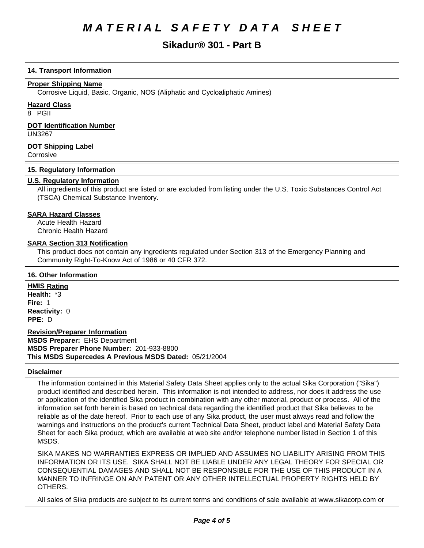# **Sikadur® 301 - Part B**

# **14. Transport Information**

### **Proper Shipping Name**

Corrosive Liquid, Basic, Organic, NOS (Aliphatic and Cycloaliphatic Amines)

### **Hazard Class**

8 PGII

## **DOT Identification Number**

UN3267

# **DOT Shipping Label**

**Corrosive** 

## **15. Regulatory Information**

# **U.S. Regulatory Information**

All ingredients of this product are listed or are excluded from listing under the U.S. Toxic Substances Control Act (TSCA) Chemical Substance Inventory.

### **SARA Hazard Classes**

Acute Health Hazard Chronic Health Hazard

### **SARA Section 313 Notification**

This product does not contain any ingredients regulated under Section 313 of the Emergency Planning and Community Right-To-Know Act of 1986 or 40 CFR 372.

## **16. Other Information**

**HMIS Rating Health: \*3 Fire: 1 Reactivity: 0 PPE: D** 

**Revision/Preparer Information MSDS Preparer:** EHS Department **MSDS Preparer Phone Number:** 201-933-8800 This MSDS Supercedes A Previous MSDS Dated: 05/21/2004

#### **Disclaimer**

The information contained in this Material Safety Data Sheet applies only to the actual Sika Corporation ("Sika") product identified and described herein. This information is not intended to address, nor does it address the use or application of the identified Sika product in combination with any other material, product or process. All of the information set forth herein is based on technical data regarding the identified product that Sika believes to be reliable as of the date hereof. Prior to each use of any Sika product, the user must always read and follow the warnings and instructions on the product's current Technical Data Sheet, product label and Material Safety Data Sheet for each Sika product, which are available at web site and/or telephone number listed in Section 1 of this MSDS.

SIKA MAKES NO WARRANTIES EXPRESS OR IMPLIED AND ASSUMES NO LIABILITY ARISING FROM THIS INFORMATION OR ITS USE. SIKA SHALL NOT BE LIABLE UNDER ANY LEGAL THEORY FOR SPECIAL OR CONSEQUENTIAL DAMAGES AND SHALL NOT BE RESPONSIBLE FOR THE USE OF THIS PRODUCT IN A MANNER TO INFRINGE ON ANY PATENT OR ANY OTHER INTELLECTUAL PROPERTY RIGHTS HELD BY OTHERS.

All sales of Sika products are subject to its current terms and conditions of sale available at www.sikacorp.com or